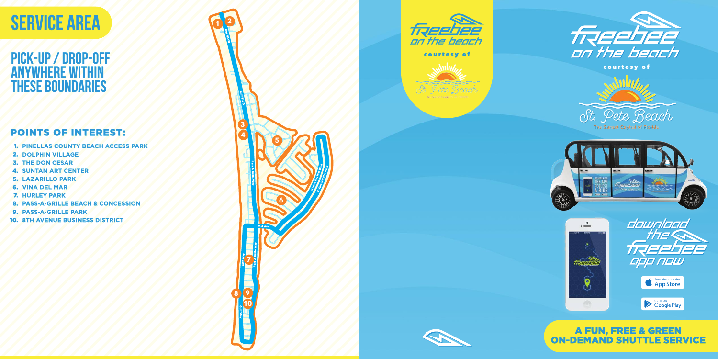#### POINTS OF INTEREST:

- **PINELLAS COUNTY BEACH ACCESS PARK** 1.
- **DOLPHIN VILLAGE** 2.
- **3. THE DON CESAR**
- **4. SUNTAN ART CENTER**
- **LAZARILLO PARK** 5.
- **VINA DEL MAR** 6.
- **HURLEY PARK** 7.
- **PASS-A-GRILLE BEACH & CONCESSION** 8.
- **PASS-A-GRILLE PARK** 9.
- **10. 8TH AVENUE BUSINESS DISTRICT**

#### **PICK-Up / drop-off anywhere within these boundaries**













# **<sup>1</sup> <sup>2</sup> SERVICE AREA**

#### A FUN, FREE & GREEN ON-DEMAND SHUTTLE SERVICE

courtesy of



The Sunset Capital of Florida